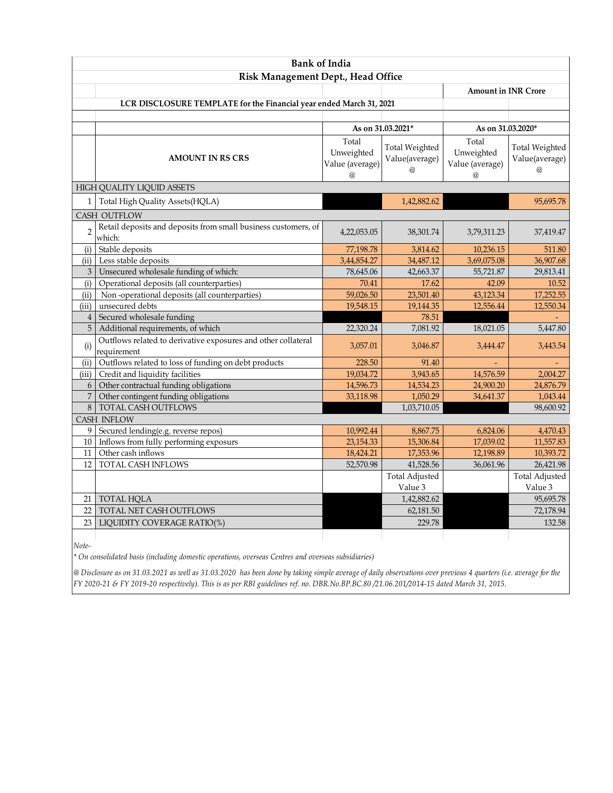| <b>Bank of India</b>                                                |                                                                              |                                             |                                                     |                                             |                                                     |  |
|---------------------------------------------------------------------|------------------------------------------------------------------------------|---------------------------------------------|-----------------------------------------------------|---------------------------------------------|-----------------------------------------------------|--|
|                                                                     | Risk Management Dept., Head Office                                           |                                             |                                                     |                                             |                                                     |  |
|                                                                     |                                                                              | <b>Amount in INR Crore</b>                  |                                                     |                                             |                                                     |  |
| LCR DISCLOSURE TEMPLATE for the Financial year ended March 31, 2021 |                                                                              |                                             |                                                     |                                             |                                                     |  |
|                                                                     |                                                                              |                                             |                                                     |                                             |                                                     |  |
|                                                                     |                                                                              | As on 31.03.2021*                           |                                                     | As on 31.03.2020*                           |                                                     |  |
|                                                                     | <b>AMOUNT IN RS CRS</b>                                                      | Total<br>Unweighted<br>Value (average)<br>@ | <b>Total Weighted</b><br>Value(average)<br>$\omega$ | Total<br>Unweighted<br>Value (average)<br>@ | <b>Total Weighted</b><br>Value(average)<br>$\omega$ |  |
|                                                                     | HIGH QUALITY LIQUID ASSETS                                                   |                                             |                                                     |                                             |                                                     |  |
| $\mathbf{1}$                                                        | Total High Quality Assets(HQLA)                                              |                                             | 1,42,882.62                                         |                                             | 95,695.78                                           |  |
|                                                                     | CASH OUTFLOW                                                                 |                                             |                                                     |                                             |                                                     |  |
| $\overline{2}$                                                      | Retail deposits and deposits from small business customers, of<br>which:     | 4,22,053.05                                 | 38,301.74                                           | 3,79,311.23                                 | 37,419.47                                           |  |
| (i)                                                                 | Stable deposits                                                              | 77,198.78                                   | 3,814.62                                            | 10,236.15                                   | 511.80                                              |  |
| (ii)                                                                | Less stable deposits                                                         | 3,44,854.27                                 | 34,487.12                                           | 3,69,075.08                                 | 36,907.68                                           |  |
| $\mathfrak{Z}$                                                      | Unsecured wholesale funding of which:                                        | 78,645.06                                   | 42,663.37                                           | 55,721.87                                   | 29,813.41                                           |  |
| (i)                                                                 | Operational deposits (all counterparties)                                    | 70.41                                       | 17.62                                               | 42.09                                       | 10.52                                               |  |
| (ii)                                                                | Non-operational deposits (all counterparties)                                | 59,026.50                                   | 23,501.40                                           | 43,123.34                                   | 17,252.55                                           |  |
| (iii)                                                               | unsecured debts                                                              | 19,548.15                                   | 19,144.35                                           | 12,556.44                                   | 12,550.34                                           |  |
| $\overline{4}$                                                      | Secured wholesale funding                                                    |                                             | 78.51                                               |                                             |                                                     |  |
| $\overline{5}$                                                      | Additional requirements, of which                                            | 22,320.24                                   | 7,081.92                                            | 18,021.05                                   | 5,447.80                                            |  |
| (i)                                                                 | Outflows related to derivative exposures and other collateral<br>requirement | 3,057.01                                    | 3,046.87                                            | 3,444.47                                    | 3,443.54                                            |  |
| (ii)                                                                | Outflows related to loss of funding on debt products                         | 228.50                                      | 91.40                                               |                                             |                                                     |  |
| (iii)                                                               | Credit and liquidity facilities                                              | 19,034.72                                   | 3,943.65                                            | 14,576.59                                   | 2,004.27                                            |  |
| 6                                                                   | Other contractual funding obligations                                        | 14,596.73                                   | 14,534.23                                           | 24,900.20                                   | 24,876.79                                           |  |
| $\overline{7}$                                                      | Other contingent funding obligations                                         | 33,118.98                                   | 1,050.29                                            | 34,641.37                                   | 1,043.44                                            |  |
| $\,8\,$                                                             | TOTAL CASH OUTFLOWS                                                          |                                             | 1,03,710.05                                         |                                             | 98,600.92                                           |  |
|                                                                     | <b>CASH INFLOW</b>                                                           |                                             |                                                     |                                             |                                                     |  |
| 9                                                                   | Secured lending(e.g. reverse repos)                                          | 10,992.44                                   | 8,867.75                                            | 6,824.06                                    | 4,470.43                                            |  |
| 10                                                                  | Inflows from fully performing exposurs                                       | 23,154.33                                   | 15,306.84                                           | 17,039.02                                   | 11,557.83                                           |  |
| 11                                                                  | Other cash inflows                                                           | 18,424.21                                   | 17,353.96                                           | 12,198.89                                   | 10,393.72                                           |  |
| 12                                                                  | TOTAL CASH INFLOWS                                                           | 52,570.98                                   | 41,528.56                                           | 36,061.96                                   | 26,421.98                                           |  |
|                                                                     |                                                                              |                                             | <b>Total Adjusted</b>                               |                                             | <b>Total Adjusted</b>                               |  |
|                                                                     |                                                                              |                                             | Value 3                                             |                                             | Value 3                                             |  |
| 21                                                                  | <b>TOTAL HQLA</b>                                                            |                                             | 1,42,882.62                                         |                                             | 95,695.78                                           |  |
| 22                                                                  | TOTAL NET CASH OUTFLOWS                                                      |                                             | 62,181.50                                           |                                             | 72,178.94                                           |  |
| 23                                                                  | LIQUIDITY COVERAGE RATIO(%)                                                  |                                             | 229.78                                              |                                             | 132.58                                              |  |
|                                                                     |                                                                              |                                             |                                                     |                                             |                                                     |  |

*Note-*

*\* On consolidated basis (including domestic operations, overseas Centres and overseas subsidiaries)*

*@ Disclosure as on 31.03.2021 as well as 31.03.2020 has been done by taking simple average of daily observations over previous 4 quarters (i.e. average for the FY 2020-21 & FY 2019-20 respectively). This is as per RBI guidelines ref. no. DBR.No.BP.BC.80 /21.06.201/2014-15 dated March 31, 2015.*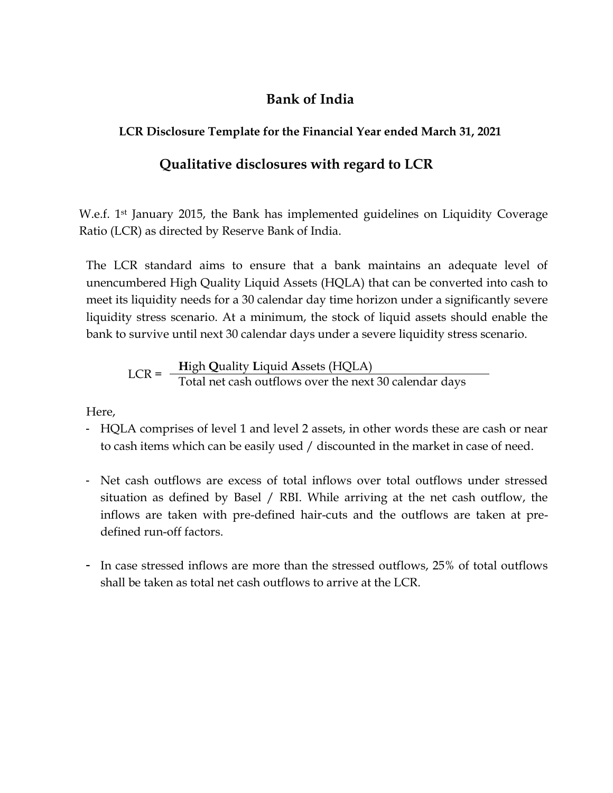## **Bank of India**

## **LCR Disclosure Template for the Financial Year ended March 31, 2021**

## **Qualitative disclosures with regard to LCR**

W.e.f. 1st January 2015, the Bank has implemented guidelines on Liquidity Coverage Ratio (LCR) as directed by Reserve Bank of India.

The LCR standard aims to ensure that a bank maintains an adequate level of unencumbered High Quality Liquid Assets (HQLA) that can be converted into cash to meet its liquidity needs for a 30 calendar day time horizon under a significantly severe liquidity stress scenario. At a minimum, the stock of liquid assets should enable the bank to survive until next 30 calendar days under a severe liquidity stress scenario.

$$
LCR = \frac{High Quality Liquid Assets (HQLA)}{Total net cash outflows over the next 30 calendar days}
$$

Here,

- HQLA comprises of level 1 and level 2 assets, in other words these are cash or near to cash items which can be easily used / discounted in the market in case of need.
- Net cash outflows are excess of total inflows over total outflows under stressed situation as defined by Basel / RBI. While arriving at the net cash outflow, the inflows are taken with pre-defined hair-cuts and the outflows are taken at predefined run-off factors.
- In case stressed inflows are more than the stressed outflows, 25% of total outflows shall be taken as total net cash outflows to arrive at the LCR.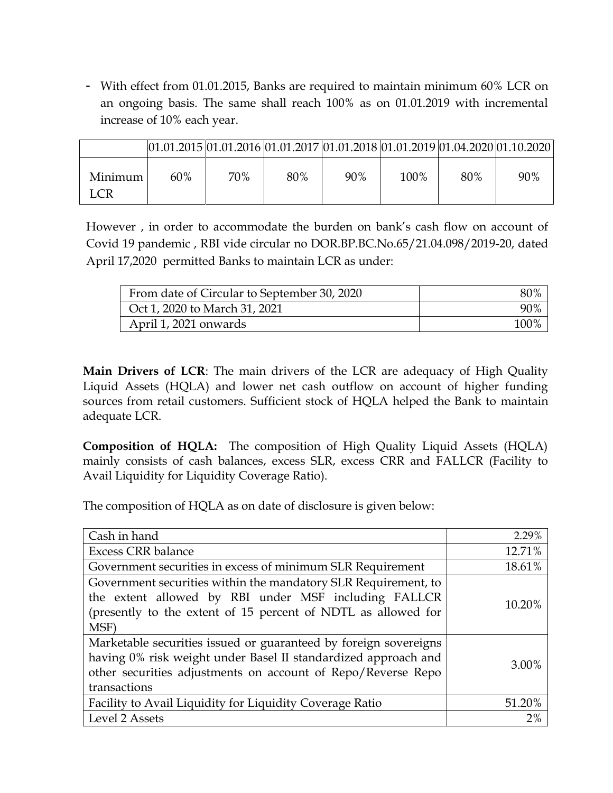- With effect from 01.01.2015, Banks are required to maintain minimum 60% LCR on an ongoing basis. The same shall reach 100% as on 01.01.2019 with incremental increase of 10% each year.

|                   |     |     | $[01.01.2015]01.01.2016]01.01.2017]01.01.2018]01.01.2019]01.04.2020]01.10.2020$ |     |      |     |     |
|-------------------|-----|-----|---------------------------------------------------------------------------------|-----|------|-----|-----|
| Minimum I<br>LCR. | 60% | 70% | 80%                                                                             | 90% | 100% | 80% | 90% |

However , in order to accommodate the burden on bank's cash flow on account of Covid 19 pandemic , RBI vide circular no DOR.BP.BC.No.65/21.04.098/2019-20, dated April 17,2020 permitted Banks to maintain LCR as under:

| From date of Circular to September 30, 2020 | 80%  |
|---------------------------------------------|------|
| Oct 1, 2020 to March 31, 2021               | 90%  |
| April 1, 2021 onwards                       | 100% |

**Main Drivers of LCR**: The main drivers of the LCR are adequacy of High Quality Liquid Assets (HQLA) and lower net cash outflow on account of higher funding sources from retail customers. Sufficient stock of HQLA helped the Bank to maintain adequate LCR.

**Composition of HQLA:** The composition of High Quality Liquid Assets (HQLA) mainly consists of cash balances, excess SLR, excess CRR and FALLCR (Facility to Avail Liquidity for Liquidity Coverage Ratio).

The composition of HQLA as on date of disclosure is given below:

| Cash in hand                                                                                                                                                                                                       | 2.29%  |
|--------------------------------------------------------------------------------------------------------------------------------------------------------------------------------------------------------------------|--------|
| <b>Excess CRR</b> balance                                                                                                                                                                                          | 12.71% |
| Government securities in excess of minimum SLR Requirement                                                                                                                                                         | 18.61% |
| Government securities within the mandatory SLR Requirement, to<br>the extent allowed by RBI under MSF including FALLCR<br>(presently to the extent of 15 percent of NDTL as allowed for<br>MSF)                    | 10.20% |
| Marketable securities issued or guaranteed by foreign sovereigns<br>having 0% risk weight under Basel II standardized approach and<br>other securities adjustments on account of Repo/Reverse Repo<br>transactions | 3.00%  |
| Facility to Avail Liquidity for Liquidity Coverage Ratio                                                                                                                                                           | 51.20% |
| Level 2 Assets                                                                                                                                                                                                     | 2%     |